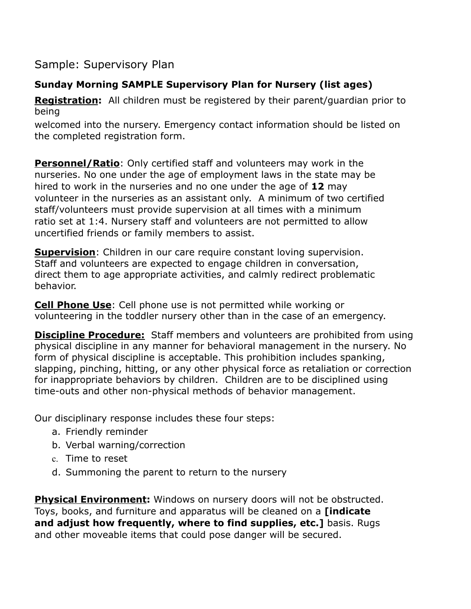Sample: Supervisory Plan

## **Sunday Morning SAMPLE Supervisory Plan for Nursery (list ages)**

**Registration:** All children must be registered by their parent/guardian prior to being

welcomed into the nursery. Emergency contact information should be listed on the completed registration form.

**Personnel/Ratio**: Only certified staff and volunteers may work in the nurseries. No one under the age of employment laws in the state may be hired to work in the nurseries and no one under the age of **12** may volunteer in the nurseries as an assistant only. A minimum of two certified staff/volunteers must provide supervision at all times with a minimum ratio set at 1:4. Nursery staff and volunteers are not permitted to allow uncertified friends or family members to assist.

**Supervision**: Children in our care require constant loving supervision. Staff and volunteers are expected to engage children in conversation, direct them to age appropriate activities, and calmly redirect problematic behavior.

**Cell Phone Use**: Cell phone use is not permitted while working or volunteering in the toddler nursery other than in the case of an emergency.

**Discipline Procedure:** Staff members and volunteers are prohibited from using physical discipline in any manner for behavioral management in the nursery. No form of physical discipline is acceptable. This prohibition includes spanking, slapping, pinching, hitting, or any other physical force as retaliation or correction for inappropriate behaviors by children. Children are to be disciplined using time-outs and other non-physical methods of behavior management.

Our disciplinary response includes these four steps:

- a. Friendly reminder
- b. Verbal warning/correction
- c. Time to reset
- d. Summoning the parent to return to the nursery

**Physical Environment:** Windows on nursery doors will not be obstructed. Toys, books, and furniture and apparatus will be cleaned on a **[indicate and adjust how frequently, where to find supplies, etc.]** basis. Rugs and other moveable items that could pose danger will be secured.